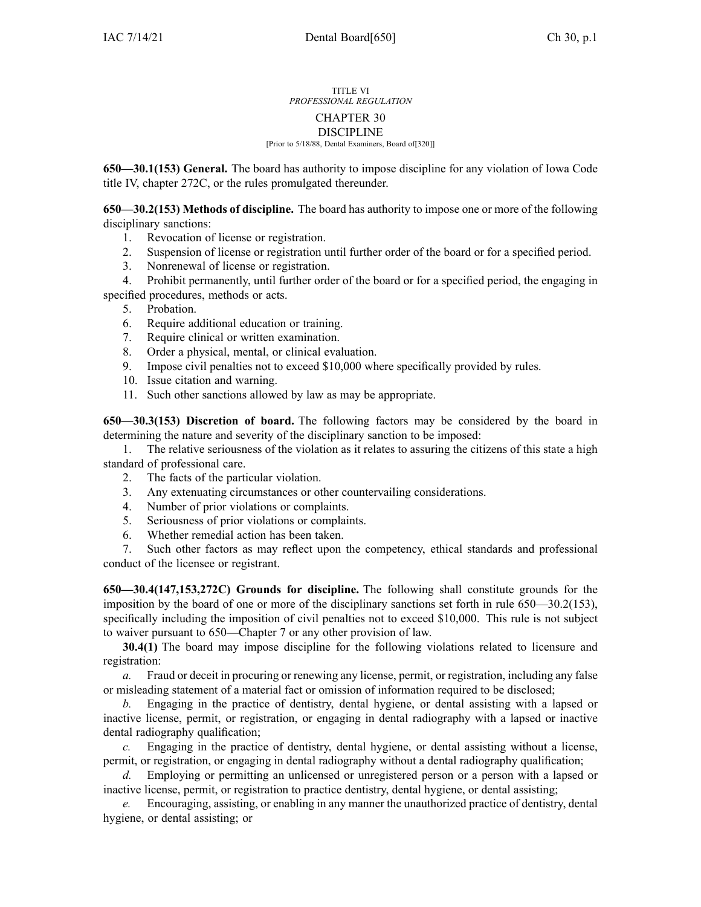## TITLE VI *PROFESSIONAL REGULATION* CHAPTER 30 DISCIPLINE [Prior to 5/18/88, Dental Examiners, Board of[320]]

**650—30.1(153) General.** The board has authority to impose discipline for any violation of Iowa Code title IV, chapter [272C](https://www.legis.iowa.gov/docs/ico/chapter/272.pdf), or the rules promulgated thereunder.

**650—30.2(153) Methods of discipline.** The board has authority to impose one or more of the following disciplinary sanctions:

- 1. Revocation of license or registration.
- 2. Suspension of license or registration until further order of the board or for <sup>a</sup> specified period.
- 3. Nonrenewal of license or registration.

4. Prohibit permanently, until further order of the board or for <sup>a</sup> specified period, the engaging in specified procedures, methods or acts.

- 5. Probation.
- 6. Require additional education or training.
- 7. Require clinical or written examination.
- 8. Order <sup>a</sup> physical, mental, or clinical evaluation.
- 9. Impose civil penalties not to exceed \$10,000 where specifically provided by rules.
- 10. Issue citation and warning.
- 11. Such other sanctions allowed by law as may be appropriate.

**650—30.3(153) Discretion of board.** The following factors may be considered by the board in determining the nature and severity of the disciplinary sanction to be imposed:

1. The relative seriousness of the violation as it relates to assuring the citizens of this state <sup>a</sup> high standard of professional care.

- 2. The facts of the particular violation.
- 3. Any extenuating circumstances or other countervailing considerations.
- 4. Number of prior violations or complaints.
- 5. Seriousness of prior violations or complaints.
- 6. Whether remedial action has been taken.

7. Such other factors as may reflect upon the competency, ethical standards and professional conduct of the licensee or registrant.

**650—30.4(147,153,272C) Grounds for discipline.** The following shall constitute grounds for the imposition by the board of one or more of the disciplinary sanctions set forth in rule 650—30.2(153), specifically including the imposition of civil penalties not to exceed \$10,000. This rule is not subject to waiver pursuan<sup>t</sup> to 650—Chapter 7 or any other provision of law.

**30.4(1)** The board may impose discipline for the following violations related to licensure and registration:

*a.* Fraud or deceit in procuring or renewing any license, permit, or registration, including any false or misleading statement of <sup>a</sup> material fact or omission of information required to be disclosed;

*b.* Engaging in the practice of dentistry, dental hygiene, or dental assisting with <sup>a</sup> lapsed or inactive license, permit, or registration, or engaging in dental radiography with <sup>a</sup> lapsed or inactive dental radiography qualification;

*c.* Engaging in the practice of dentistry, dental hygiene, or dental assisting without <sup>a</sup> license, permit, or registration, or engaging in dental radiography without <sup>a</sup> dental radiography qualification;

*d.* Employing or permitting an unlicensed or unregistered person or <sup>a</sup> person with <sup>a</sup> lapsed or inactive license, permit, or registration to practice dentistry, dental hygiene, or dental assisting;

*e.* Encouraging, assisting, or enabling in any manner the unauthorized practice of dentistry, dental hygiene, or dental assisting; or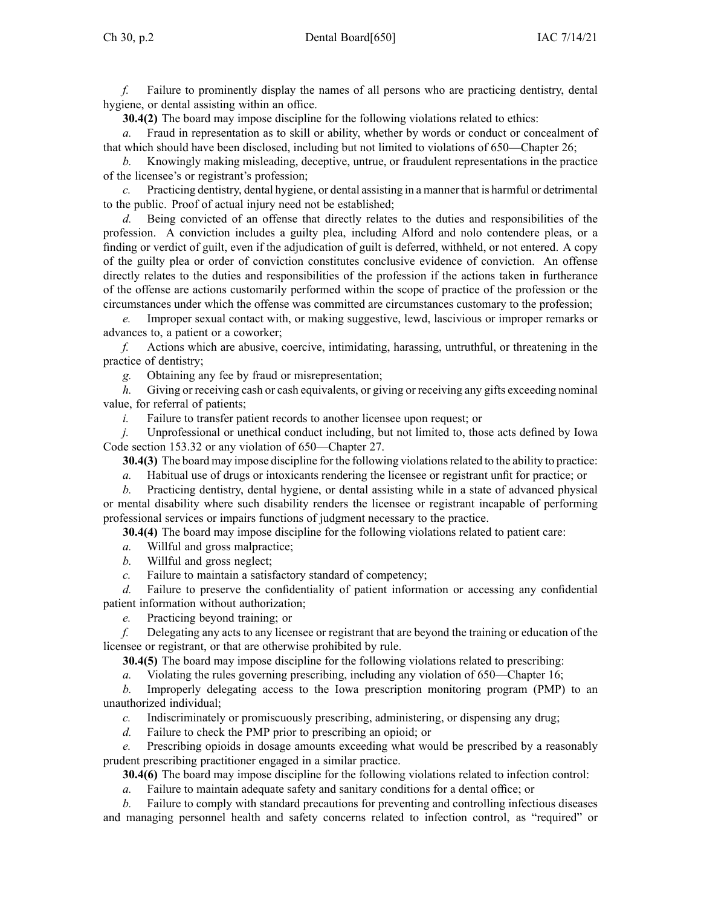*f.* Failure to prominently display the names of all persons who are practicing dentistry, dental hygiene, or dental assisting within an office.

**30.4(2)** The board may impose discipline for the following violations related to ethics:

*a.* Fraud in representation as to skill or ability, whether by words or conduct or concealment of that which should have been disclosed, including but not limited to violations of 650—Chapter 26;

*b.* Knowingly making misleading, deceptive, untrue, or fraudulent representations in the practice of the licensee's or registrant's profession;

*c.* Practicing dentistry, dental hygiene, or dental assisting in <sup>a</sup> manner that is harmful or detrimental to the public. Proof of actual injury need not be established;

*d.* Being convicted of an offense that directly relates to the duties and responsibilities of the profession. A conviction includes <sup>a</sup> guilty plea, including Alford and nolo contendere pleas, or <sup>a</sup> finding or verdict of guilt, even if the adjudication of guilt is deferred, withheld, or not entered. A copy of the guilty plea or order of conviction constitutes conclusive evidence of conviction. An offense directly relates to the duties and responsibilities of the profession if the actions taken in furtherance of the offense are actions customarily performed within the scope of practice of the profession or the circumstances under which the offense was committed are circumstances customary to the profession;

*e.* Improper sexual contact with, or making suggestive, lewd, lascivious or improper remarks or advances to, <sup>a</sup> patient or <sup>a</sup> coworker;

*f.* Actions which are abusive, coercive, intimidating, harassing, untruthful, or threatening in the practice of dentistry;

*g.* Obtaining any fee by fraud or misrepresentation;

*h.* Giving or receiving cash or cash equivalents, or giving or receiving any gifts exceeding nominal value, for referral of patients;

*i.* Failure to transfer patient records to another licensee upon request; or

*j.* Unprofessional or unethical conduct including, but not limited to, those acts defined by Iowa Code section [153.32](https://www.legis.iowa.gov/docs/ico/section/153.32.pdf) or any violation of 650—Chapter 27.

**30.4(3)** The board may impose discipline for the following violationsrelated to the ability to practice:

*a.* Habitual use of drugs or intoxicants rendering the licensee or registrant unfit for practice; or

*b.* Practicing dentistry, dental hygiene, or dental assisting while in <sup>a</sup> state of advanced physical or mental disability where such disability renders the licensee or registrant incapable of performing professional services or impairs functions of judgment necessary to the practice.

**30.4(4)** The board may impose discipline for the following violations related to patient care:

*a.* Willful and gross malpractice;

*b.* Willful and gross neglect;

*c.* Failure to maintain <sup>a</sup> satisfactory standard of competency;

*d.* Failure to preserve the confidentiality of patient information or accessing any confidential patient information without authorization;

*e.* Practicing beyond training; or

*f.* Delegating any acts to any licensee or registrant that are beyond the training or education of the licensee or registrant, or that are otherwise prohibited by rule.

**30.4(5)** The board may impose discipline for the following violations related to prescribing:

*a.* Violating the rules governing prescribing, including any violation of 650—Chapter 16;

*b.* Improperly delegating access to the Iowa prescription monitoring program (PMP) to an unauthorized individual;

*c.* Indiscriminately or promiscuously prescribing, administering, or dispensing any drug;

*d.* Failure to check the PMP prior to prescribing an opioid; or

Prescribing opioids in dosage amounts exceeding what would be prescribed by a reasonably prudent prescribing practitioner engaged in <sup>a</sup> similar practice.

**30.4(6)** The board may impose discipline for the following violations related to infection control:

*a.* Failure to maintain adequate safety and sanitary conditions for <sup>a</sup> dental office; or

*b.* Failure to comply with standard precautions for preventing and controlling infectious diseases and managing personnel health and safety concerns related to infection control, as "required" or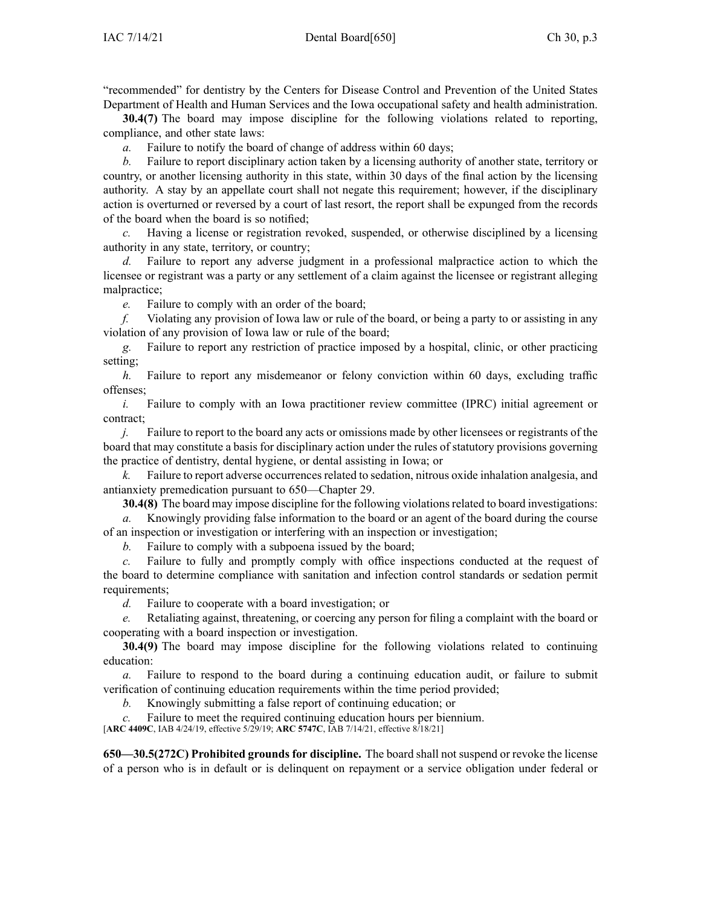"recommended" for dentistry by the Centers for Disease Control and Prevention of the United States Department of Health and Human Services and the Iowa occupational safety and health administration.

**30.4(7)** The board may impose discipline for the following violations related to reporting, compliance, and other state laws:

*a.* Failure to notify the board of change of address within 60 days;

*b.* Failure to repor<sup>t</sup> disciplinary action taken by <sup>a</sup> licensing authority of another state, territory or country, or another licensing authority in this state, within 30 days of the final action by the licensing authority. A stay by an appellate court shall not negate this requirement; however, if the disciplinary action is overturned or reversed by <sup>a</sup> court of last resort, the repor<sup>t</sup> shall be expunged from the records of the board when the board is so notified;

*c.* Having <sup>a</sup> license or registration revoked, suspended, or otherwise disciplined by <sup>a</sup> licensing authority in any state, territory, or country;

*d.* Failure to repor<sup>t</sup> any adverse judgment in <sup>a</sup> professional malpractice action to which the licensee or registrant was <sup>a</sup> party or any settlement of <sup>a</sup> claim against the licensee or registrant alleging malpractice;

*e.* Failure to comply with an order of the board;

*f.* Violating any provision of Iowa law or rule of the board, or being <sup>a</sup> party to or assisting in any violation of any provision of Iowa law or rule of the board;

*g.* Failure to repor<sup>t</sup> any restriction of practice imposed by <sup>a</sup> hospital, clinic, or other practicing setting;

*h.* Failure to repor<sup>t</sup> any misdemeanor or felony conviction within 60 days, excluding traffic offenses;

*i.* Failure to comply with an Iowa practitioner review committee (IPRC) initial agreement or contract;

*j.* Failure to report to the board any acts or omissions made by other licensees or registrants of the board that may constitute <sup>a</sup> basis for disciplinary action under the rules of statutory provisions governing the practice of dentistry, dental hygiene, or dental assisting in Iowa; or

*k.* Failure to repor<sup>t</sup> adverse occurrencesrelated to sedation, nitrous oxide inhalation analgesia, and antianxiety premedication pursuan<sup>t</sup> to 650—Chapter 29.

**30.4(8)** The board may impose discipline for the following violationsrelated to board investigations:

*a.* Knowingly providing false information to the board or an agen<sup>t</sup> of the board during the course of an inspection or investigation or interfering with an inspection or investigation;

*b.* Failure to comply with <sup>a</sup> subpoena issued by the board;

*c.* Failure to fully and promptly comply with office inspections conducted at the reques<sup>t</sup> of the board to determine compliance with sanitation and infection control standards or sedation permit requirements;

*d.* Failure to cooperate with <sup>a</sup> board investigation; or

*e.* Retaliating against, threatening, or coercing any person for filing <sup>a</sup> complaint with the board or cooperating with <sup>a</sup> board inspection or investigation.

**30.4(9)** The board may impose discipline for the following violations related to continuing education:

*a.* Failure to respond to the board during <sup>a</sup> continuing education audit, or failure to submit verification of continuing education requirements within the time period provided;

*b.* Knowingly submitting <sup>a</sup> false repor<sup>t</sup> of continuing education; or

Failure to meet the required continuing education hours per biennium.

[**ARC [4409C](https://www.legis.iowa.gov/docs/aco/arc/4409C.pdf)**, IAB 4/24/19, effective 5/29/19; **ARC [5747C](https://www.legis.iowa.gov/docs/aco/arc/5747C.pdf)**, IAB 7/14/21, effective 8/18/21]

**650—30.5(272C) Prohibited grounds for discipline.** The board shall not suspend or revoke the license of <sup>a</sup> person who is in default or is delinquent on repaymen<sup>t</sup> or <sup>a</sup> service obligation under federal or